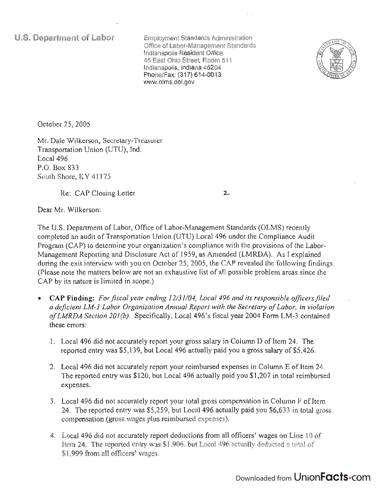**u.s. Department of Labor** 

Employment Standards Administration Office of Labor-Management Standards Indianapolis Resident Office 46 East Ohio Street, Room 51 1 Indianapolis, Indiana 46204 Phone/Fax: (317) 614-0013 www.olms.dol. gov



October 25, 2005

Mr. Dale Wilkerson, Secretary-Treasurer Transportation Union (UTU), Ind. Local 496 P.O. Box 833 South Shore, KY 41175

Re: CAP Closing Letter

 $\mathbf{z}$ 

Dear Mr. Wilkerson:

The U.S. Department of Labor, Office of Labor-Management Standards (OLMS) recently completed an audit of Transportation Union (UTU) Local 496 under the Compliance Audit Program (CAP) to determine your organization's compliance with the provisions of the Labor-Management Reporting and Disclosure Act of 1959, as Amended (LMRDA). As I explained during the exit interview with you on October 25, 2005, the CAP revealed the following findings. (Please note the matters below are not an exhaustive list of all possible problem areas since the CAP by its nature is limited in scope.)

- **CAP Finding:** *For fiscal year ending 12/31/04, Local* 496 *and its responsible officers file.d a defiCient LM-3 Labor Organization Annual Report with the Secretary of Labor, in violation of LMRDA Section 201* (b). Specifically, Local 496's fiscal year 2004 Form LM-3 contained these errors:
	- 1. Local 496 did not accurately report your gross salary in Column D of Item 24. The reported entry was \$5,139, but Local 496 actually paid you a gross salary of \$5,426.
	- 2. Local 496 did not accurately report your reimbursed expenses in Column E of Item 24. The reported entry was \$120, but Local 496 actually paid you \$1 ,207 in total reimbursed expenses.
	- 3. Local 496 did not accurately report your total gross compensation in Column F of Item 24. The reported entry was \$5,259, but Local 496 actually paid you \$6,633 in total gross compensation (gross wages plus reimbursed expenses).
	- 4. Local 496 did not accurately report deductions from all officers' wages on Line 10 of Item 24. The reported entry was \$1 ,906, but Local 496 actually deducted a total of \$1,999 from all officers' wages.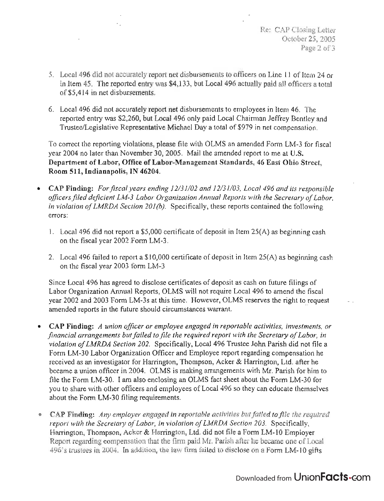- 5. Local 496 did not accurately report net disbursements to officers on Line 11 of Item 24 or in Item 45. The reported entry was \$4,133, but Local 496 actually paid all officers a total of\$5,414 in net disbursements.
- 6. Local 496 did not accurately report net disbursements to employees in Item 46. The reported entry was \$2,260, but Local 496 only paid Local Chairman Jeffrey Bentley and TrusteelLegislative Representative Michael Day a total of \$979 in net compensation.

To correct the reporting violations, please file with OLMS an amended Form LM-3 for fiscal year 2004 no later than November 30, 2005. Mail the amended report to me at U.S. Department of Labor, Office of Labor-Management Standards, 46 East Ohio Street, Room 511, Indianapolis, IN 46204.

- CAP Finding: *For fiscal years ending 12131102 and 12131103, Local* 496 *and its responsible officers filed deficient LM-3 Labor Organization Annual Reports with the Secretary of Labor, in violation of LMRDA Section 201(b).* Specifically, these reports contained the following errors:
	- 1. Local 496 did not report a \$5,000 certificate of deposit in Item 25(A) as beginning cash on the fiscal year 2002 Form LM-3.
	- 2. Local 496 failed to report a \$10,000 certificate of deposit in Item 25(A) as beginning cash on the fiscal year 2003 form LM-3

Since Local 496 has agreed to disclose certificates of deposit as cash on future filings of Labor Organization Annual Reports, OLMS will not require Local 496 to amend the fiscal year 2002 and 2003 Form LM-3s at this time. However, OLMS reserves the right to request amended reports in the future should circumstances warrant.

- CAP Finding: *A union officer or employee engaged in reportable activities, investments, or*   $\bullet$ *financial arrangements but failed to file the required report with the Secretary of Labor, in violation of LMRDA Section 202.* Specifically, Local 496 Trustee John Parish did not file a Form LM-30 Labor Organization Officer and Employee report regarding compensation he received as an investigator for Harrington, Thompson, Acker & Harrington, Ltd. after he became a union officer in 2004. OLMS is making arrangements with Mr. Parish for him to file the Form LM-30. I am also enclosing an OLMS fact sheet about the Form LM-30 for you to share with other officers and employees of Local 496 so they can educate themselves about the Form LM-30 filing requirements.
- CAP Finding: *Any employer engaged in reportable activities but failed to file the required report with the Secretary of Labor, in violation of LMRDA Section 203.* Specifically, Harrington, Thompson, Acker & Harrington, Ltd. did not file a Form LM-I0 Employer Report regarding compensation that the firm paid Mr. Parish after he became one of Local 496's trustees in 2004. In addition, the law firm failed to disclose on a Form LM-IO gifts

## Downloaded from UnionFacts.com